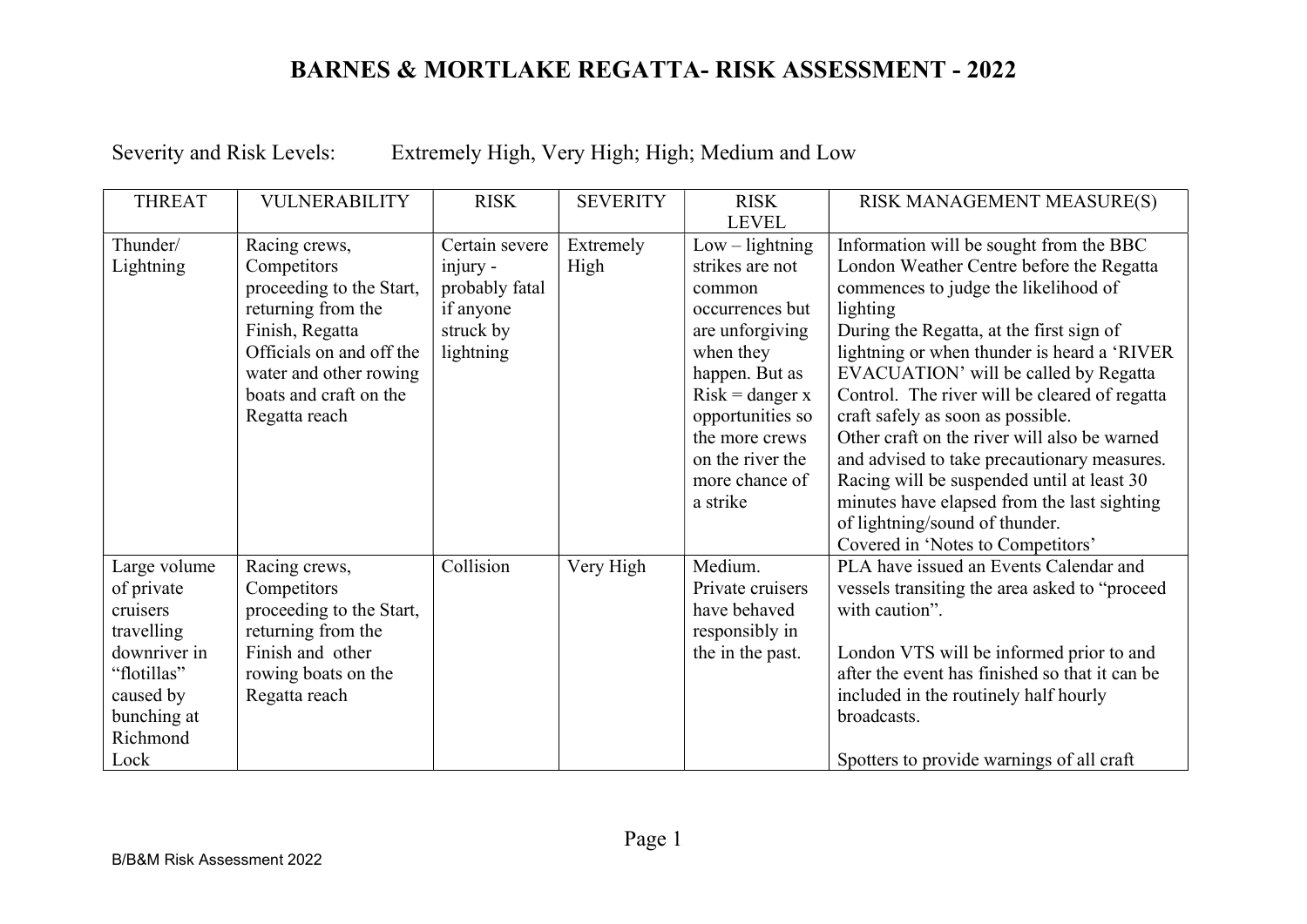Severity and Risk Levels: Extremely High, Very High; High; Medium and Low

| <b>THREAT</b>                                                                                                                       | <b>VULNERABILITY</b>                                                                                                                                                                               | <b>RISK</b>                                                                         | <b>SEVERITY</b>   | <b>RISK</b><br><b>LEVEL</b>                                                                                                                                                                                                      | RISK MANAGEMENT MEASURE(S)                                                                                                                                                                                                                                                                                                                                                                                                                                                                                                                                                                                                           |
|-------------------------------------------------------------------------------------------------------------------------------------|----------------------------------------------------------------------------------------------------------------------------------------------------------------------------------------------------|-------------------------------------------------------------------------------------|-------------------|----------------------------------------------------------------------------------------------------------------------------------------------------------------------------------------------------------------------------------|--------------------------------------------------------------------------------------------------------------------------------------------------------------------------------------------------------------------------------------------------------------------------------------------------------------------------------------------------------------------------------------------------------------------------------------------------------------------------------------------------------------------------------------------------------------------------------------------------------------------------------------|
| Thunder/<br>Lightning                                                                                                               | Racing crews,<br>Competitors<br>proceeding to the Start,<br>returning from the<br>Finish, Regatta<br>Officials on and off the<br>water and other rowing<br>boats and craft on the<br>Regatta reach | Certain severe<br>injury -<br>probably fatal<br>if anyone<br>struck by<br>lightning | Extremely<br>High | $Low - lightning$<br>strikes are not<br>common<br>occurrences but<br>are unforgiving<br>when they<br>happen. But as<br>$Risk = danger x$<br>opportunities so<br>the more crews<br>on the river the<br>more chance of<br>a strike | Information will be sought from the BBC<br>London Weather Centre before the Regatta<br>commences to judge the likelihood of<br>lighting<br>During the Regatta, at the first sign of<br>lightning or when thunder is heard a 'RIVER<br>EVACUATION' will be called by Regatta<br>Control. The river will be cleared of regatta<br>craft safely as soon as possible.<br>Other craft on the river will also be warned<br>and advised to take precautionary measures.<br>Racing will be suspended until at least 30<br>minutes have elapsed from the last sighting<br>of lightning/sound of thunder.<br>Covered in 'Notes to Competitors' |
| Large volume<br>of private<br>cruisers<br>travelling<br>downriver in<br>"flotillas"<br>caused by<br>bunching at<br>Richmond<br>Lock | Racing crews,<br>Competitors<br>proceeding to the Start,<br>returning from the<br>Finish and other<br>rowing boats on the<br>Regatta reach                                                         | Collision                                                                           | Very High         | Medium.<br>Private cruisers<br>have behaved<br>responsibly in<br>the in the past.                                                                                                                                                | PLA have issued an Events Calendar and<br>vessels transiting the area asked to "proceed<br>with caution".<br>London VTS will be informed prior to and<br>after the event has finished so that it can be<br>included in the routinely half hourly<br>broadcasts.<br>Spotters to provide warnings of all craft                                                                                                                                                                                                                                                                                                                         |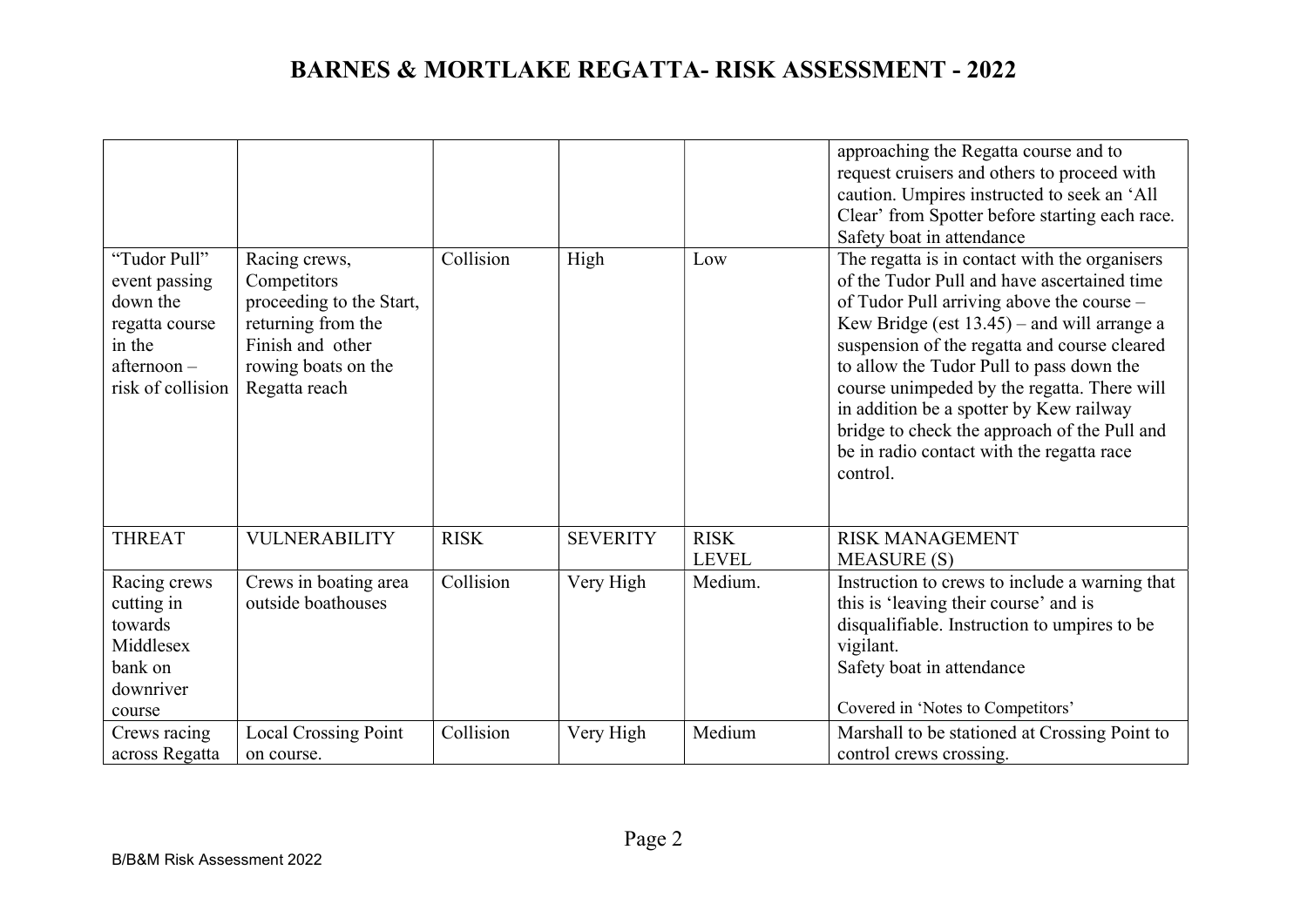| "Tudor Pull"<br>event passing<br>down the<br>regatta course<br>in the<br>afternoon-<br>risk of collision | Racing crews,<br>Competitors<br>proceeding to the Start,<br>returning from the<br>Finish and other<br>rowing boats on the<br>Regatta reach | Collision   | High            | Low                         | approaching the Regatta course and to<br>request cruisers and others to proceed with<br>caution. Umpires instructed to seek an 'All<br>Clear' from Spotter before starting each race.<br>Safety boat in attendance<br>The regatta is in contact with the organisers<br>of the Tudor Pull and have ascertained time<br>of Tudor Pull arriving above the course -<br>Kew Bridge (est $13.45$ ) – and will arrange a<br>suspension of the regatta and course cleared<br>to allow the Tudor Pull to pass down the<br>course unimpeded by the regatta. There will<br>in addition be a spotter by Kew railway |
|----------------------------------------------------------------------------------------------------------|--------------------------------------------------------------------------------------------------------------------------------------------|-------------|-----------------|-----------------------------|---------------------------------------------------------------------------------------------------------------------------------------------------------------------------------------------------------------------------------------------------------------------------------------------------------------------------------------------------------------------------------------------------------------------------------------------------------------------------------------------------------------------------------------------------------------------------------------------------------|
|                                                                                                          |                                                                                                                                            |             |                 |                             | bridge to check the approach of the Pull and<br>be in radio contact with the regatta race<br>control.                                                                                                                                                                                                                                                                                                                                                                                                                                                                                                   |
| <b>THREAT</b>                                                                                            | <b>VULNERABILITY</b>                                                                                                                       | <b>RISK</b> | <b>SEVERITY</b> | <b>RISK</b><br><b>LEVEL</b> | <b>RISK MANAGEMENT</b><br><b>MEASURE (S)</b>                                                                                                                                                                                                                                                                                                                                                                                                                                                                                                                                                            |
| Racing crews<br>cutting in<br>towards<br>Middlesex<br>bank on<br>downriver<br>course                     | Crews in boating area<br>outside boathouses                                                                                                | Collision   | Very High       | Medium.                     | Instruction to crews to include a warning that<br>this is 'leaving their course' and is<br>disqualifiable. Instruction to umpires to be<br>vigilant.<br>Safety boat in attendance<br>Covered in 'Notes to Competitors'                                                                                                                                                                                                                                                                                                                                                                                  |
| Crews racing<br>across Regatta                                                                           | <b>Local Crossing Point</b><br>on course.                                                                                                  | Collision   | Very High       | Medium                      | Marshall to be stationed at Crossing Point to<br>control crews crossing.                                                                                                                                                                                                                                                                                                                                                                                                                                                                                                                                |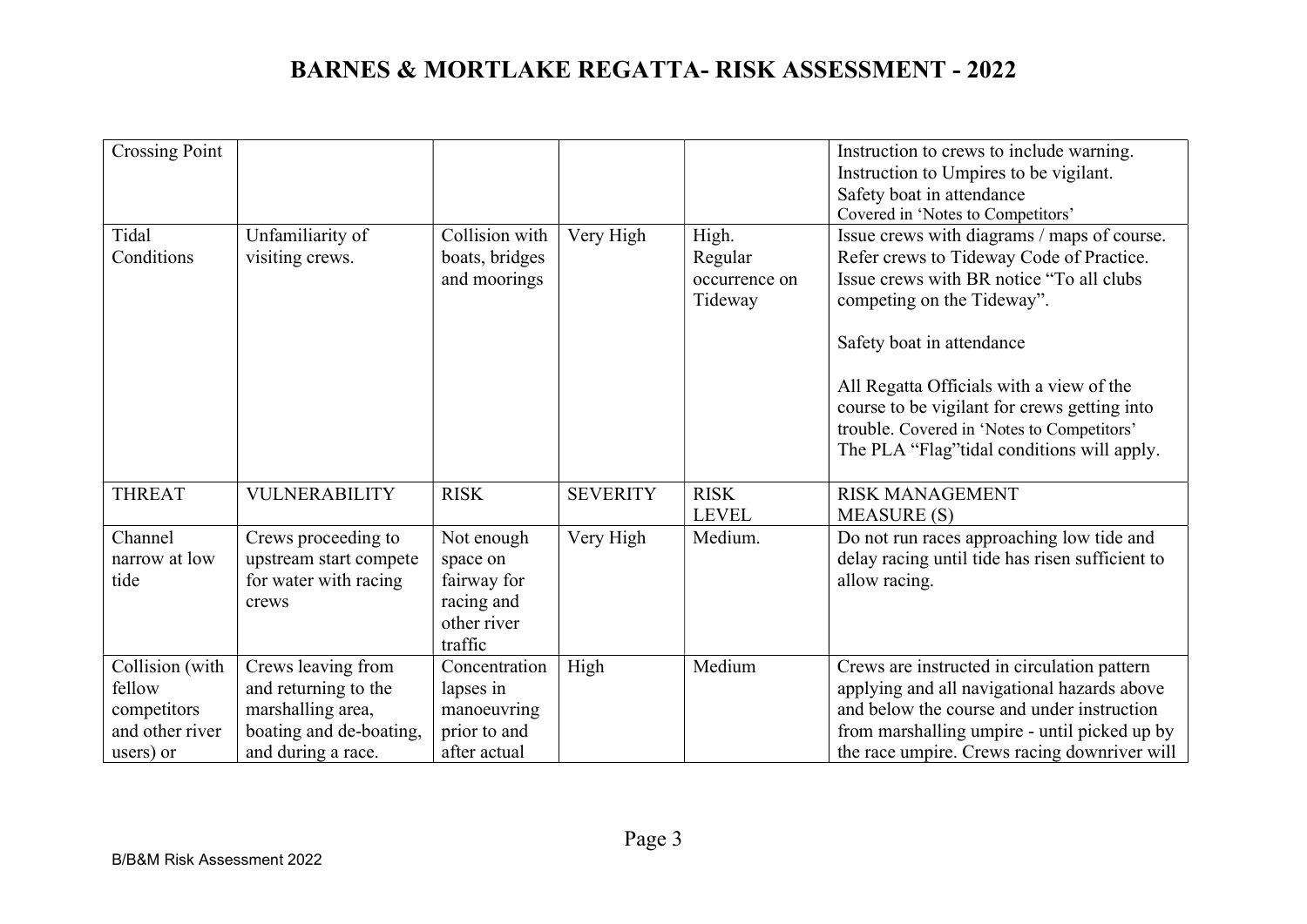| <b>Crossing Point</b>                                       |                                                                                            |                                                           |                 |                                              | Instruction to crews to include warning.<br>Instruction to Umpires to be vigilant.<br>Safety boat in attendance                                                                                                                                                                                                                                                                          |
|-------------------------------------------------------------|--------------------------------------------------------------------------------------------|-----------------------------------------------------------|-----------------|----------------------------------------------|------------------------------------------------------------------------------------------------------------------------------------------------------------------------------------------------------------------------------------------------------------------------------------------------------------------------------------------------------------------------------------------|
|                                                             |                                                                                            |                                                           |                 |                                              | Covered in 'Notes to Competitors'                                                                                                                                                                                                                                                                                                                                                        |
| Tidal<br>Conditions                                         | Unfamiliarity of<br>visiting crews.                                                        | Collision with<br>boats, bridges<br>and moorings          | Very High       | High.<br>Regular<br>occurrence on<br>Tideway | Issue crews with diagrams / maps of course.<br>Refer crews to Tideway Code of Practice.<br>Issue crews with BR notice "To all clubs"<br>competing on the Tideway".<br>Safety boat in attendance<br>All Regatta Officials with a view of the<br>course to be vigilant for crews getting into<br>trouble. Covered in 'Notes to Competitors'<br>The PLA "Flag" tidal conditions will apply. |
| <b>THREAT</b>                                               | <b>VULNERABILITY</b>                                                                       | <b>RISK</b>                                               | <b>SEVERITY</b> | <b>RISK</b><br><b>LEVEL</b>                  | <b>RISK MANAGEMENT</b><br><b>MEASURE (S)</b>                                                                                                                                                                                                                                                                                                                                             |
| Channel                                                     | Crews proceeding to                                                                        | Not enough                                                | Very High       | Medium.                                      | Do not run races approaching low tide and                                                                                                                                                                                                                                                                                                                                                |
| narrow at low                                               | upstream start compete                                                                     | space on                                                  |                 |                                              | delay racing until tide has risen sufficient to                                                                                                                                                                                                                                                                                                                                          |
| tide                                                        | for water with racing                                                                      | fairway for                                               |                 |                                              | allow racing.                                                                                                                                                                                                                                                                                                                                                                            |
|                                                             | crews                                                                                      | racing and                                                |                 |                                              |                                                                                                                                                                                                                                                                                                                                                                                          |
|                                                             |                                                                                            | other river<br>traffic                                    |                 |                                              |                                                                                                                                                                                                                                                                                                                                                                                          |
| Collision (with<br>fellow<br>competitors<br>and other river | Crews leaving from<br>and returning to the<br>marshalling area,<br>boating and de-boating, | Concentration<br>lapses in<br>manoeuvring<br>prior to and | High            | Medium                                       | Crews are instructed in circulation pattern<br>applying and all navigational hazards above<br>and below the course and under instruction<br>from marshalling umpire - until picked up by                                                                                                                                                                                                 |
| users) or                                                   | and during a race.                                                                         | after actual                                              |                 |                                              | the race umpire. Crews racing downriver will                                                                                                                                                                                                                                                                                                                                             |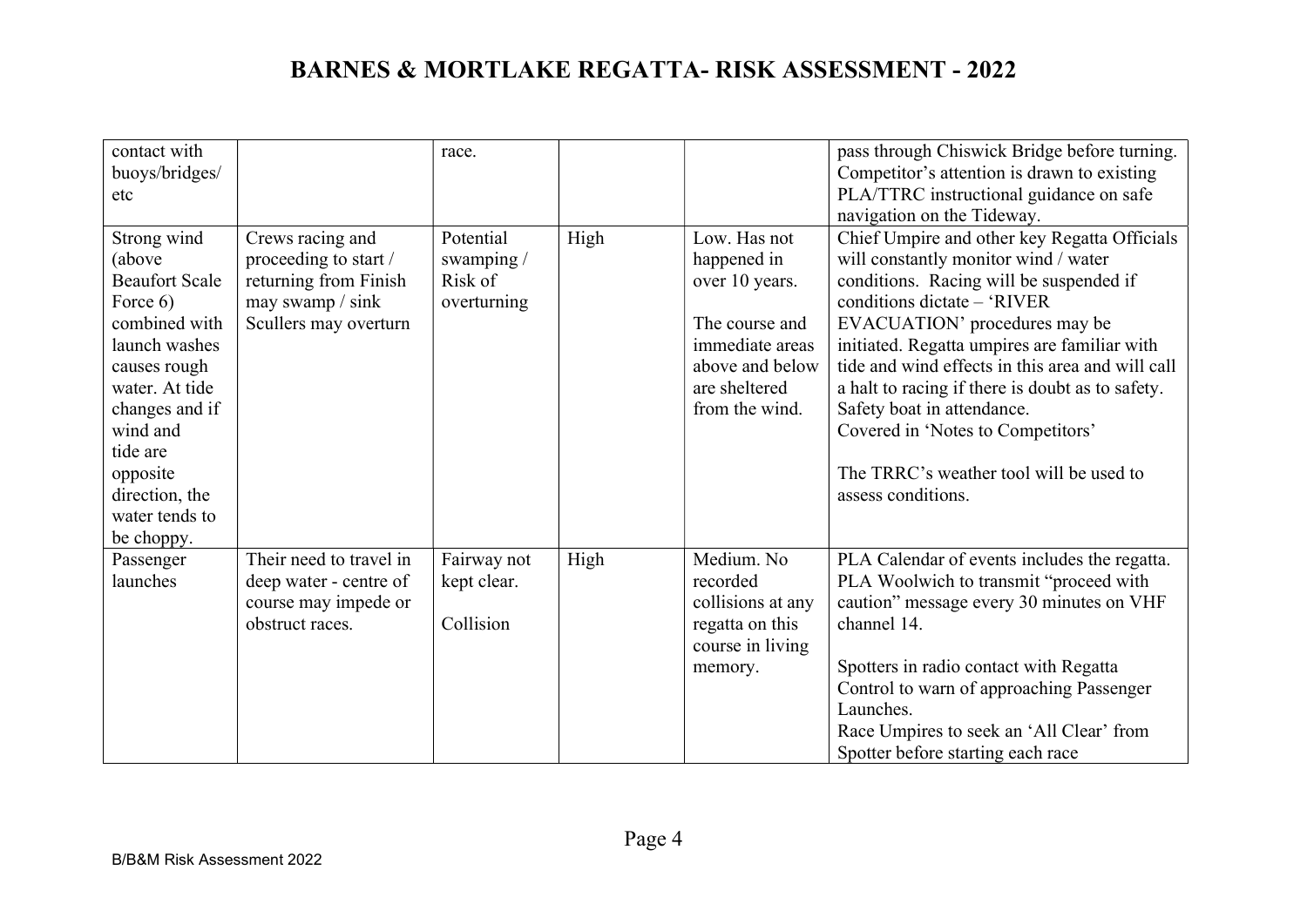| contact with<br>buoys/bridges/<br>etc                                                                                                                                                                                                  |                                                                                                                 | race.                                             |      |                                                                                                                                          | pass through Chiswick Bridge before turning.<br>Competitor's attention is drawn to existing<br>PLA/TTRC instructional guidance on safe<br>navigation on the Tideway.                                                                                                                                                                                                                                                                                                                        |
|----------------------------------------------------------------------------------------------------------------------------------------------------------------------------------------------------------------------------------------|-----------------------------------------------------------------------------------------------------------------|---------------------------------------------------|------|------------------------------------------------------------------------------------------------------------------------------------------|---------------------------------------------------------------------------------------------------------------------------------------------------------------------------------------------------------------------------------------------------------------------------------------------------------------------------------------------------------------------------------------------------------------------------------------------------------------------------------------------|
| Strong wind<br>(above<br><b>Beaufort Scale</b><br>Force 6)<br>combined with<br>launch washes<br>causes rough<br>water. At tide<br>changes and if<br>wind and<br>tide are<br>opposite<br>direction, the<br>water tends to<br>be choppy. | Crews racing and<br>proceeding to start /<br>returning from Finish<br>may swamp / sink<br>Scullers may overturn | Potential<br>swamping /<br>Risk of<br>overturning | High | Low. Has not<br>happened in<br>over 10 years.<br>The course and<br>immediate areas<br>above and below<br>are sheltered<br>from the wind. | Chief Umpire and other key Regatta Officials<br>will constantly monitor wind / water<br>conditions. Racing will be suspended if<br>conditions dictate - 'RIVER<br>EVACUATION' procedures may be<br>initiated. Regatta umpires are familiar with<br>tide and wind effects in this area and will call<br>a halt to racing if there is doubt as to safety.<br>Safety boat in attendance.<br>Covered in 'Notes to Competitors'<br>The TRRC's weather tool will be used to<br>assess conditions. |
| Passenger<br>launches                                                                                                                                                                                                                  | Their need to travel in<br>deep water - centre of<br>course may impede or<br>obstruct races.                    | Fairway not<br>kept clear.<br>Collision           | High | Medium. No<br>recorded<br>collisions at any<br>regatta on this<br>course in living<br>memory.                                            | PLA Calendar of events includes the regatta.<br>PLA Woolwich to transmit "proceed with<br>caution" message every 30 minutes on VHF<br>channel 14.<br>Spotters in radio contact with Regatta<br>Control to warn of approaching Passenger<br>Launches.<br>Race Umpires to seek an 'All Clear' from<br>Spotter before starting each race                                                                                                                                                       |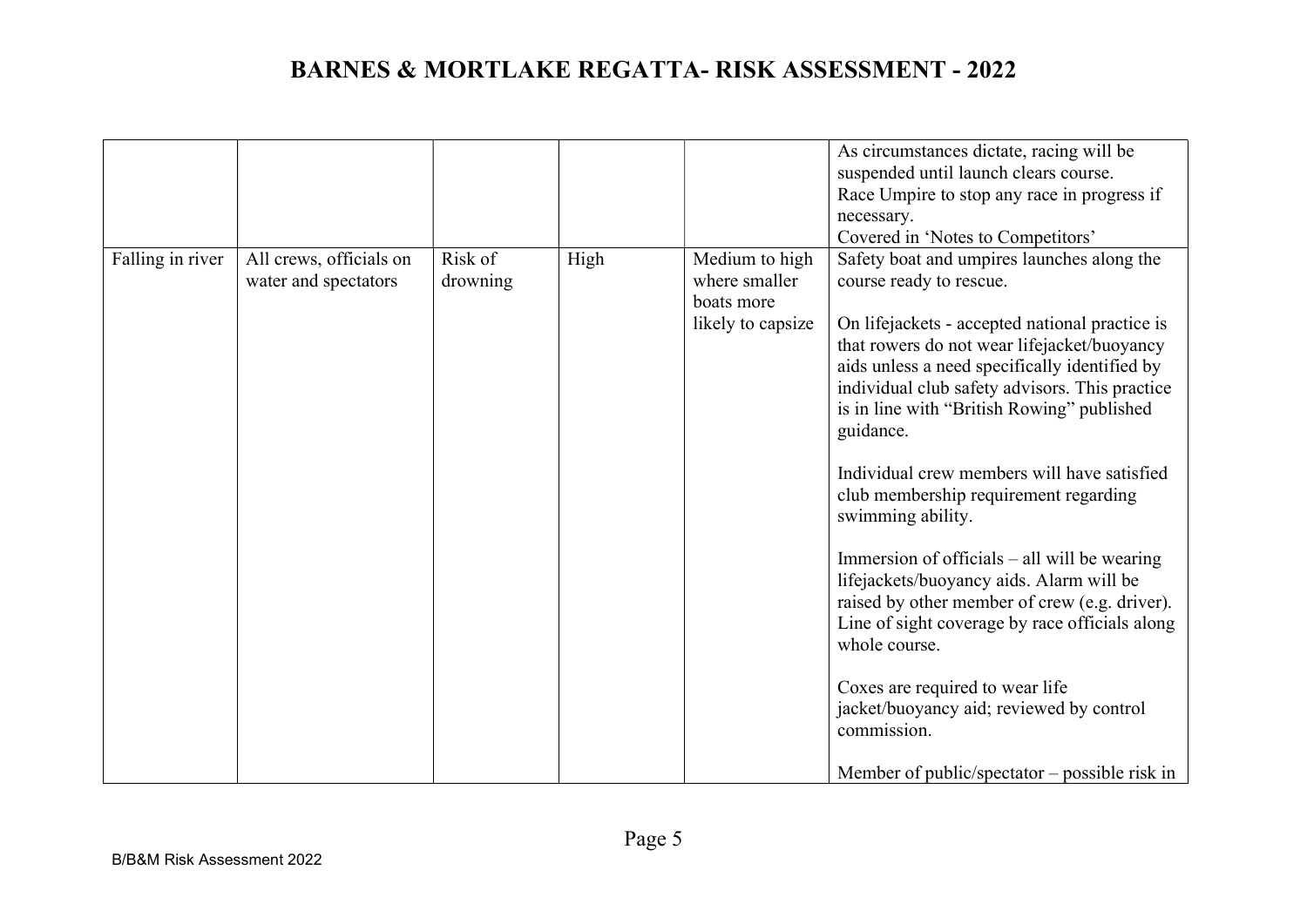|                  |                                                 |                     |      |                                                                    | As circumstances dictate, racing will be<br>suspended until launch clears course.                                                                                                                                                                                                                                                                                                                                                                 |
|------------------|-------------------------------------------------|---------------------|------|--------------------------------------------------------------------|---------------------------------------------------------------------------------------------------------------------------------------------------------------------------------------------------------------------------------------------------------------------------------------------------------------------------------------------------------------------------------------------------------------------------------------------------|
|                  |                                                 |                     |      |                                                                    | Race Umpire to stop any race in progress if                                                                                                                                                                                                                                                                                                                                                                                                       |
|                  |                                                 |                     |      |                                                                    | necessary.                                                                                                                                                                                                                                                                                                                                                                                                                                        |
|                  |                                                 |                     |      |                                                                    | Covered in 'Notes to Competitors'                                                                                                                                                                                                                                                                                                                                                                                                                 |
| Falling in river | All crews, officials on<br>water and spectators | Risk of<br>drowning | High | Medium to high<br>where smaller<br>boats more<br>likely to capsize | Safety boat and umpires launches along the<br>course ready to rescue.<br>On lifejackets - accepted national practice is<br>that rowers do not wear lifejacket/buoyancy<br>aids unless a need specifically identified by<br>individual club safety advisors. This practice<br>is in line with "British Rowing" published<br>guidance.<br>Individual crew members will have satisfied<br>club membership requirement regarding<br>swimming ability. |
|                  |                                                 |                     |      |                                                                    | Immersion of officials $-$ all will be wearing<br>lifejackets/buoyancy aids. Alarm will be<br>raised by other member of crew (e.g. driver).<br>Line of sight coverage by race officials along<br>whole course.<br>Coxes are required to wear life<br>jacket/buoyancy aid; reviewed by control<br>commission.                                                                                                                                      |
|                  |                                                 |                     |      |                                                                    | Member of public/spectator $-$ possible risk in                                                                                                                                                                                                                                                                                                                                                                                                   |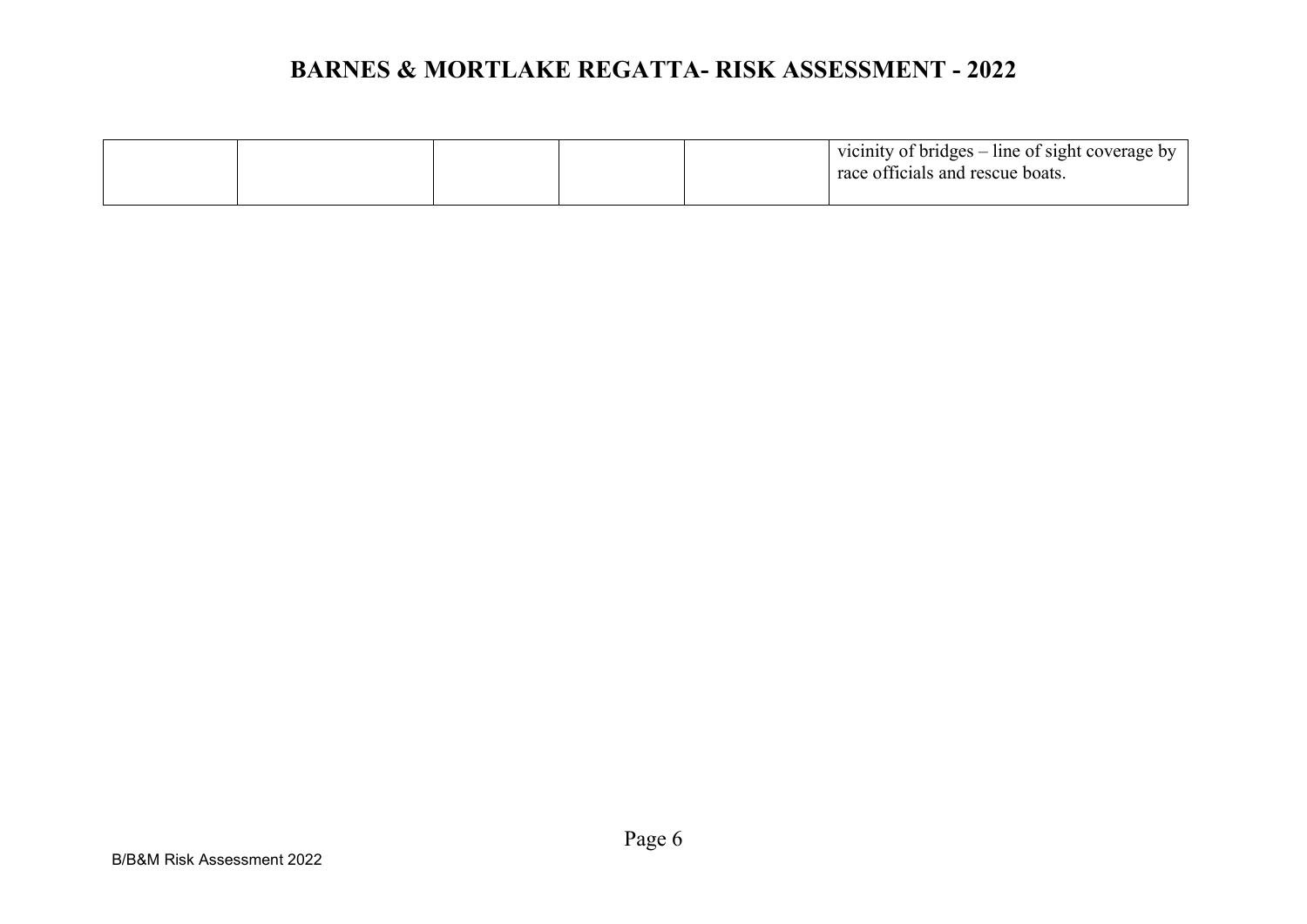|  |  | vicinity of bridges – line of sight coverage by<br>race officials and rescue boats. |
|--|--|-------------------------------------------------------------------------------------|
|  |  |                                                                                     |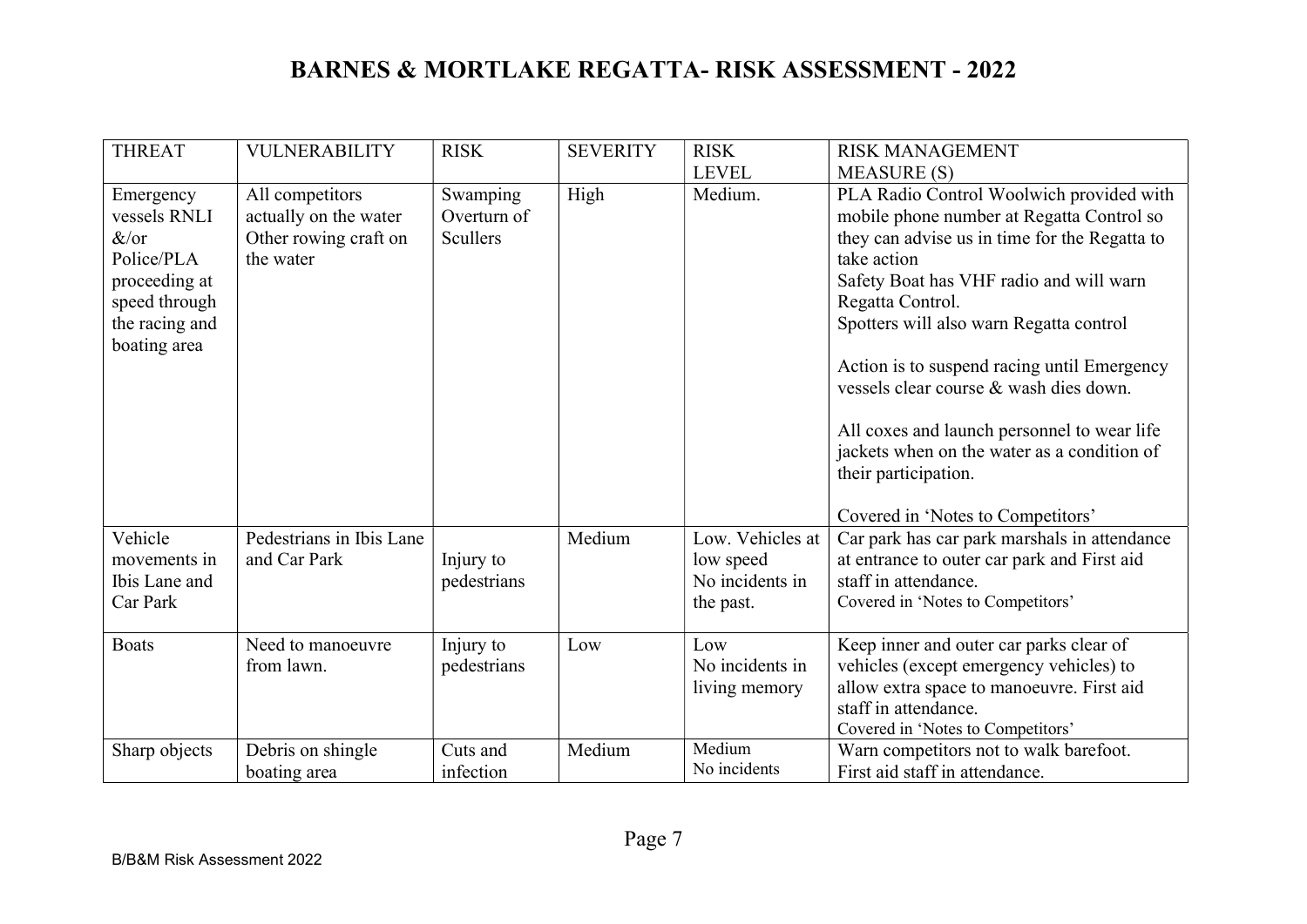| <b>THREAT</b>                                                                                                           | <b>VULNERABILITY</b>                                                           | <b>RISK</b>                         | <b>SEVERITY</b> | <b>RISK</b>                                                   | <b>RISK MANAGEMENT</b>                                                                                                                                                                                                                                                                                                                                                                                                                                                                                              |
|-------------------------------------------------------------------------------------------------------------------------|--------------------------------------------------------------------------------|-------------------------------------|-----------------|---------------------------------------------------------------|---------------------------------------------------------------------------------------------------------------------------------------------------------------------------------------------------------------------------------------------------------------------------------------------------------------------------------------------------------------------------------------------------------------------------------------------------------------------------------------------------------------------|
|                                                                                                                         |                                                                                |                                     |                 | <b>LEVEL</b>                                                  | <b>MEASURE (S)</b>                                                                                                                                                                                                                                                                                                                                                                                                                                                                                                  |
| Emergency<br>vessels RNLI<br>$\&$ /or<br>Police/PLA<br>proceeding at<br>speed through<br>the racing and<br>boating area | All competitors<br>actually on the water<br>Other rowing craft on<br>the water | Swamping<br>Overturn of<br>Scullers | High            | Medium.                                                       | PLA Radio Control Woolwich provided with<br>mobile phone number at Regatta Control so<br>they can advise us in time for the Regatta to<br>take action<br>Safety Boat has VHF radio and will warn<br>Regatta Control.<br>Spotters will also warn Regatta control<br>Action is to suspend racing until Emergency<br>vessels clear course & wash dies down.<br>All coxes and launch personnel to wear life<br>jackets when on the water as a condition of<br>their participation.<br>Covered in 'Notes to Competitors' |
| Vehicle<br>movements in<br>Ibis Lane and<br>Car Park                                                                    | Pedestrians in Ibis Lane<br>and Car Park                                       | Injury to<br>pedestrians            | Medium          | Low. Vehicles at<br>low speed<br>No incidents in<br>the past. | Car park has car park marshals in attendance<br>at entrance to outer car park and First aid<br>staff in attendance.<br>Covered in 'Notes to Competitors'                                                                                                                                                                                                                                                                                                                                                            |
| <b>Boats</b>                                                                                                            | Need to manoeuvre<br>from lawn.                                                | Injury to<br>pedestrians            | Low             | Low<br>No incidents in<br>living memory                       | Keep inner and outer car parks clear of<br>vehicles (except emergency vehicles) to<br>allow extra space to manoeuvre. First aid<br>staff in attendance.<br>Covered in 'Notes to Competitors'                                                                                                                                                                                                                                                                                                                        |
| Sharp objects                                                                                                           | Debris on shingle<br>boating area                                              | Cuts and<br>infection               | Medium          | Medium<br>No incidents                                        | Warn competitors not to walk barefoot.<br>First aid staff in attendance.                                                                                                                                                                                                                                                                                                                                                                                                                                            |